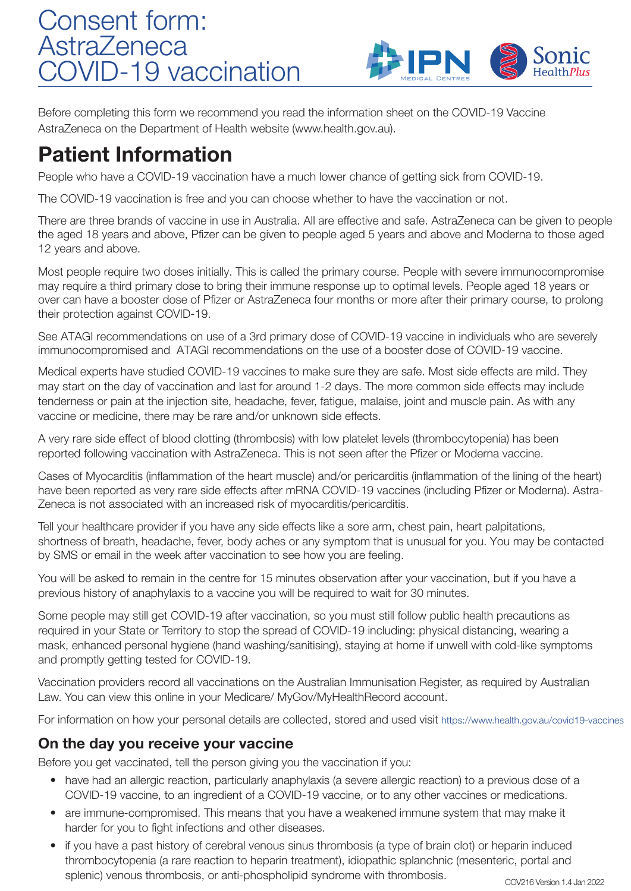## Consent form: **AstraZeneca** COVID-19 vaccination



Before completing this form we recommend you read the information sheet on the COVID-19 Vaccine AstraZeneca on the Department of Health website (www.health.gov.au).

## Patient Information

People who have a COVID-19 vaccination have a much lower chance of getting sick from COVID-19.

The COVID-19 vaccination is free and you can choose whether to have the vaccination or not.

There are three brands of vaccine in use in Australia. All are effective and safe. AstraZeneca can be given to people the aged 18 years and above, Pfizer can be given to people aged 5 years and above and Moderna to those aged 12 years and above.

Most people require two doses initially. This is called the primary course. People with severe immunocompromise may require a third primary dose to bring their immune response up to optimal levels. People aged 18 years or over can have a booster dose of Pfizer or AstraZeneca four months or more after their primary course, to prolong their protection against COVID-19.

See ATAGI recommendations on use of a 3rd primary dose of COVID-19 vaccine in individuals who are severely immunocompromised and ATAGI recommendations on the use of a booster dose of COVID-19 vaccine.

Medical experts have studied COVID-19 vaccines to make sure they are safe. Most side effects are mild. They may start on the day of vaccination and last for around 1-2 days. The more common side effects may include tenderness or pain at the injection site, headache, fever, fatigue, malaise, joint and muscle pain. As with any vaccine or medicine, there may be rare and/or unknown side effects.

A very rare side effect of blood clotting (thrombosis) with low platelet levels (thrombocytopenia) has been reported following vaccination with AstraZeneca. This is not seen after the Pfizer or Moderna vaccine.

Cases of Myocarditis (inflammation of the heart muscle) and/or pericarditis (inflammation of the lining of the heart) have been reported as very rare side effects after mRNA COVID-19 vaccines (including Pfizer or Moderna). Astra-Zeneca is not associated with an increased risk of myocarditis/pericarditis.

Tell your healthcare provider if you have any side effects like a sore arm, chest pain, heart palpitations, shortness of breath, headache, fever, body aches or any symptom that is unusual for you. You may be contacted by SMS or email in the week after vaccination to see how you are feeling.

You will be asked to remain in the centre for 15 minutes observation after your vaccination, but if you have a previous history of anaphylaxis to a vaccine you will be required to wait for 30 minutes.

Some people may still get COVID-19 after vaccination, so you must still follow public health precautions as required in your State or Territory to stop the spread of COVID-19 including: physical distancing, wearing a mask, enhanced personal hygiene (hand washing/sanitising), staying at home if unwell with cold-like symptoms and promptly getting tested for COVID-19.

Vaccination providers record all vaccinations on the Australian Immunisation Register, as required by Australian Law. You can view this online in your Medicare/ MyGov/MyHealthRecord account.

For information on how your personal details are collected, stored and used visit https://www.health.gov.au/covid19-vaccines

## On the day you receive your vaccine

Before you get vaccinated, tell the person giving you the vaccination if you:

- have had an allergic reaction, particularly anaphylaxis (a severe allergic reaction) to a previous dose of a COVID-19 vaccine, to an ingredient of a COVID-19 vaccine, or to any other vaccines or medications.
- are immune-compromised. This means that you have a weakened immune system that may make it harder for you to fight infections and other diseases.
- if you have a past history of cerebral venous sinus thrombosis (a type of brain clot) or heparin induced thrombocytopenia (a rare reaction to heparin treatment), idiopathic splanchnic (mesenteric, portal and splenic) venous thrombosis, or anti-phospholipid syndrome with thrombosis.<br>COV216 Version 1.4 Jan 2022